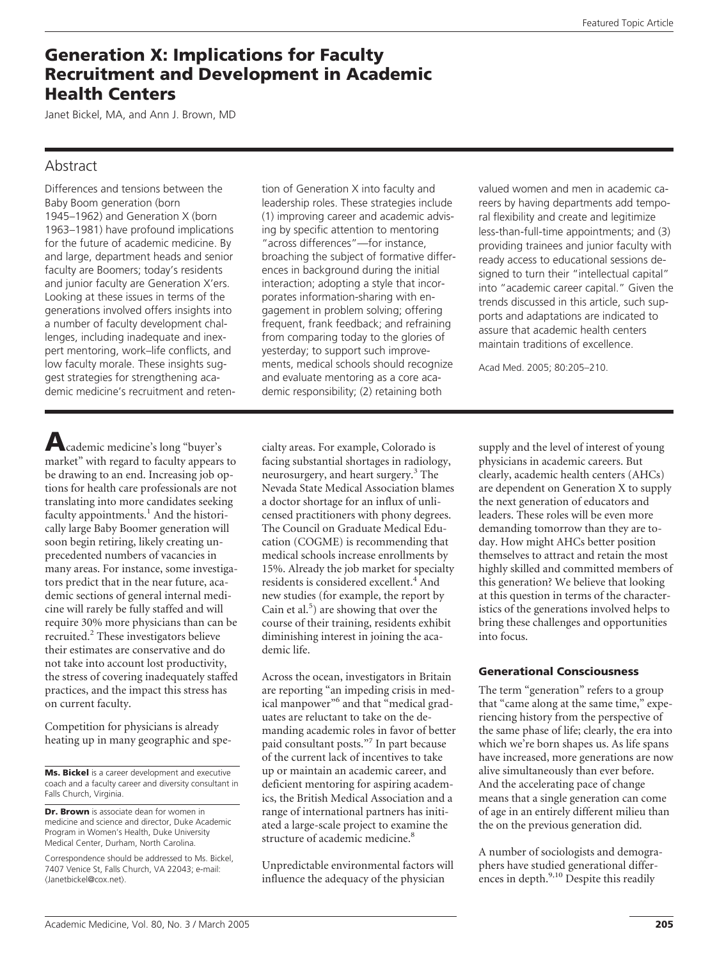# **Generation X: Implications for Faculty Recruitment and Development in Academic Health Centers**

Janet Bickel, MA, and Ann J. Brown, MD

# Abstract

Differences and tensions between the Baby Boom generation (born 1945–1962) and Generation X (born 1963–1981) have profound implications for the future of academic medicine. By and large, department heads and senior faculty are Boomers; today's residents and junior faculty are Generation X'ers. Looking at these issues in terms of the generations involved offers insights into a number of faculty development challenges, including inadequate and inexpert mentoring, work–life conflicts, and low faculty morale. These insights suggest strategies for strengthening academic medicine's recruitment and reten-

tion of Generation X into faculty and leadership roles. These strategies include (1) improving career and academic advising by specific attention to mentoring "across differences"—for instance, broaching the subject of formative differences in background during the initial interaction; adopting a style that incorporates information-sharing with engagement in problem solving; offering frequent, frank feedback; and refraining from comparing today to the glories of yesterday; to support such improvements, medical schools should recognize and evaluate mentoring as a core academic responsibility; (2) retaining both

valued women and men in academic careers by having departments add temporal flexibility and create and legitimize less-than-full-time appointments; and (3) providing trainees and junior faculty with ready access to educational sessions designed to turn their "intellectual capital" into "academic career capital." Given the trends discussed in this article, such supports and adaptations are indicated to assure that academic health centers maintain traditions of excellence.

Acad Med. 2005; 80:205–210.

**A**cademic medicine's long "buyer's market" with regard to faculty appears to be drawing to an end. Increasing job options for health care professionals are not translating into more candidates seeking faculty appointments.<sup>1</sup> And the historically large Baby Boomer generation will soon begin retiring, likely creating unprecedented numbers of vacancies in many areas. For instance, some investigators predict that in the near future, academic sections of general internal medicine will rarely be fully staffed and will require 30% more physicians than can be recruited.<sup>2</sup> These investigators believe their estimates are conservative and do not take into account lost productivity, the stress of covering inadequately staffed practices, and the impact this stress has on current faculty.

Competition for physicians is already heating up in many geographic and spe-

**Ms. Bickel** is a career development and executive coach and a faculty career and diversity consultant in Falls Church, Virginia.

**Dr. Brown** is associate dean for women in medicine and science and director, Duke Academic Program in Women's Health, Duke University Medical Center, Durham, North Carolina.

Correspondence should be addressed to Ms. Bickel, 7407 Venice St, Falls Church, VA 22043; e-mail: (Janetbickel@cox.net).

cialty areas. For example, Colorado is facing substantial shortages in radiology, neurosurgery, and heart surgery.3 The Nevada State Medical Association blames a doctor shortage for an influx of unlicensed practitioners with phony degrees. The Council on Graduate Medical Education (COGME) is recommending that medical schools increase enrollments by 15%. Already the job market for specialty residents is considered excellent.<sup>4</sup> And new studies (for example, the report by Cain et al.<sup>5</sup>) are showing that over the course of their training, residents exhibit diminishing interest in joining the academic life.

Across the ocean, investigators in Britain are reporting "an impeding crisis in medical manpower"6 and that "medical graduates are reluctant to take on the demanding academic roles in favor of better paid consultant posts."7 In part because of the current lack of incentives to take up or maintain an academic career, and deficient mentoring for aspiring academics, the British Medical Association and a range of international partners has initiated a large-scale project to examine the structure of academic medicine.<sup>8</sup>

Unpredictable environmental factors will influence the adequacy of the physician

supply and the level of interest of young physicians in academic careers. But clearly, academic health centers (AHCs) are dependent on Generation X to supply the next generation of educators and leaders. These roles will be even more demanding tomorrow than they are today. How might AHCs better position themselves to attract and retain the most highly skilled and committed members of this generation? We believe that looking at this question in terms of the characteristics of the generations involved helps to bring these challenges and opportunities into focus.

# **Generational Consciousness**

The term "generation" refers to a group that "came along at the same time," experiencing history from the perspective of the same phase of life; clearly, the era into which we're born shapes us. As life spans have increased, more generations are now alive simultaneously than ever before. And the accelerating pace of change means that a single generation can come of age in an entirely different milieu than the on the previous generation did.

A number of sociologists and demographers have studied generational differences in depth. $9,10$  Despite this readily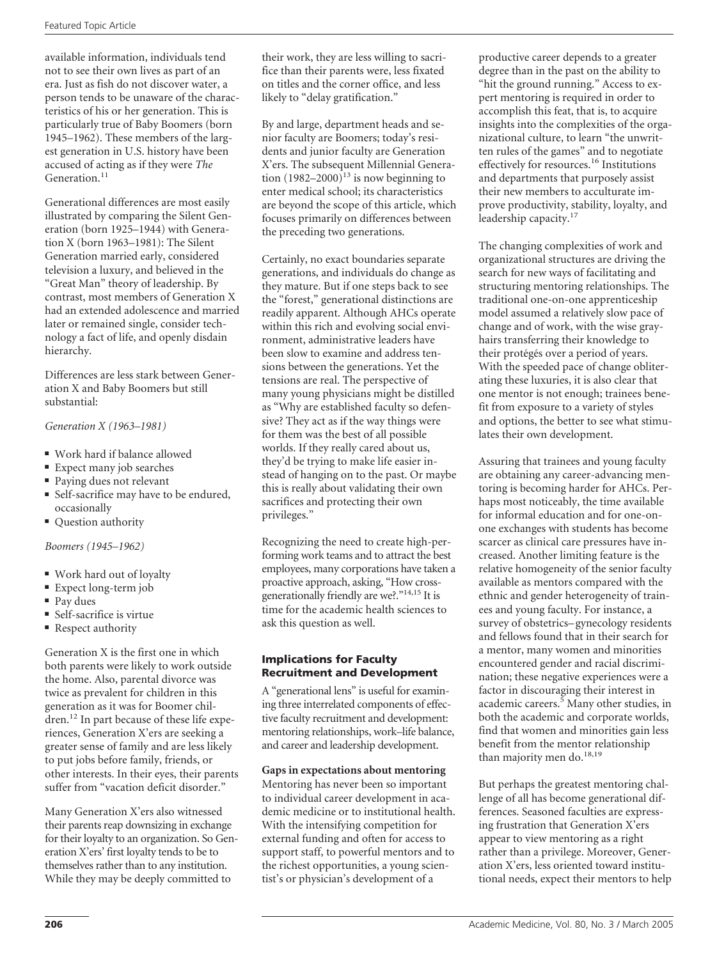available information, individuals tend not to see their own lives as part of an era. Just as fish do not discover water, a person tends to be unaware of the characteristics of his or her generation. This is particularly true of Baby Boomers (born 1945–1962). These members of the largest generation in U.S. history have been accused of acting as if they were *The* Generation. $11$ 

Generational differences are most easily illustrated by comparing the Silent Generation (born 1925–1944) with Generation X (born 1963–1981): The Silent Generation married early, considered television a luxury, and believed in the "Great Man" theory of leadership. By contrast, most members of Generation X had an extended adolescence and married later or remained single, consider technology a fact of life, and openly disdain hierarchy.

Differences are less stark between Generation X and Baby Boomers but still substantial:

#### *Generation X (1963–1981)*

- Work hard if balance allowed
- **Expect many job searches**
- Paying dues not relevant
- Self-sacrifice may have to be endured, occasionally
- Question authority

#### *Boomers (1945–1962)*

- Work hard out of loyalty
- Expect long-term job
- Pay dues
- Self-sacrifice is virtue
- Respect authority

Generation X is the first one in which both parents were likely to work outside the home. Also, parental divorce was twice as prevalent for children in this generation as it was for Boomer children.12 In part because of these life experiences, Generation X'ers are seeking a greater sense of family and are less likely to put jobs before family, friends, or other interests. In their eyes, their parents suffer from "vacation deficit disorder."

Many Generation X'ers also witnessed their parents reap downsizing in exchange for their loyalty to an organization. So Generation X'ers' first loyalty tends to be to themselves rather than to any institution. While they may be deeply committed to

their work, they are less willing to sacrifice than their parents were, less fixated on titles and the corner office, and less likely to "delay gratification."

By and large, department heads and senior faculty are Boomers; today's residents and junior faculty are Generation X'ers. The subsequent Millennial Generation  $(1982-2000)^{13}$  is now beginning to enter medical school; its characteristics are beyond the scope of this article, which focuses primarily on differences between the preceding two generations.

Certainly, no exact boundaries separate generations, and individuals do change as they mature. But if one steps back to see the "forest," generational distinctions are readily apparent. Although AHCs operate within this rich and evolving social environment, administrative leaders have been slow to examine and address tensions between the generations. Yet the tensions are real. The perspective of many young physicians might be distilled as "Why are established faculty so defensive? They act as if the way things were for them was the best of all possible worlds. If they really cared about us, they'd be trying to make life easier instead of hanging on to the past. Or maybe this is really about validating their own sacrifices and protecting their own privileges."

Recognizing the need to create high-performing work teams and to attract the best employees, many corporations have taken a proactive approach, asking, "How crossgenerationally friendly are we?."14,15 It is time for the academic health sciences to ask this question as well.

#### **Implications for Faculty Recruitment and Development**

A "generational lens" is useful for examining three interrelated components of effective faculty recruitment and development: mentoring relationships, work–life balance, and career and leadership development.

#### **Gaps in expectations about mentoring**

Mentoring has never been so important to individual career development in academic medicine or to institutional health. With the intensifying competition for external funding and often for access to support staff, to powerful mentors and to the richest opportunities, a young scientist's or physician's development of a

productive career depends to a greater degree than in the past on the ability to "hit the ground running." Access to expert mentoring is required in order to accomplish this feat, that is, to acquire insights into the complexities of the organizational culture, to learn "the unwritten rules of the games" and to negotiate effectively for resources.<sup>16</sup> Institutions and departments that purposely assist their new members to acculturate improve productivity, stability, loyalty, and leadership capacity.<sup>17</sup>

The changing complexities of work and organizational structures are driving the search for new ways of facilitating and structuring mentoring relationships. The traditional one-on-one apprenticeship model assumed a relatively slow pace of change and of work, with the wise grayhairs transferring their knowledge to their protégés over a period of years. With the speeded pace of change obliterating these luxuries, it is also clear that one mentor is not enough; trainees benefit from exposure to a variety of styles and options, the better to see what stimulates their own development.

Assuring that trainees and young faculty are obtaining any career-advancing mentoring is becoming harder for AHCs. Perhaps most noticeably, the time available for informal education and for one-onone exchanges with students has become scarcer as clinical care pressures have increased. Another limiting feature is the relative homogeneity of the senior faculty available as mentors compared with the ethnic and gender heterogeneity of trainees and young faculty. For instance, a survey of obstetrics– gynecology residents and fellows found that in their search for a mentor, many women and minorities encountered gender and racial discrimination; these negative experiences were a factor in discouraging their interest in academic careers.5 Many other studies, in both the academic and corporate worlds, find that women and minorities gain less benefit from the mentor relationship than majority men do.<sup>18,19</sup>

But perhaps the greatest mentoring challenge of all has become generational differences. Seasoned faculties are expressing frustration that Generation X'ers appear to view mentoring as a right rather than a privilege. Moreover, Generation X'ers, less oriented toward institutional needs, expect their mentors to help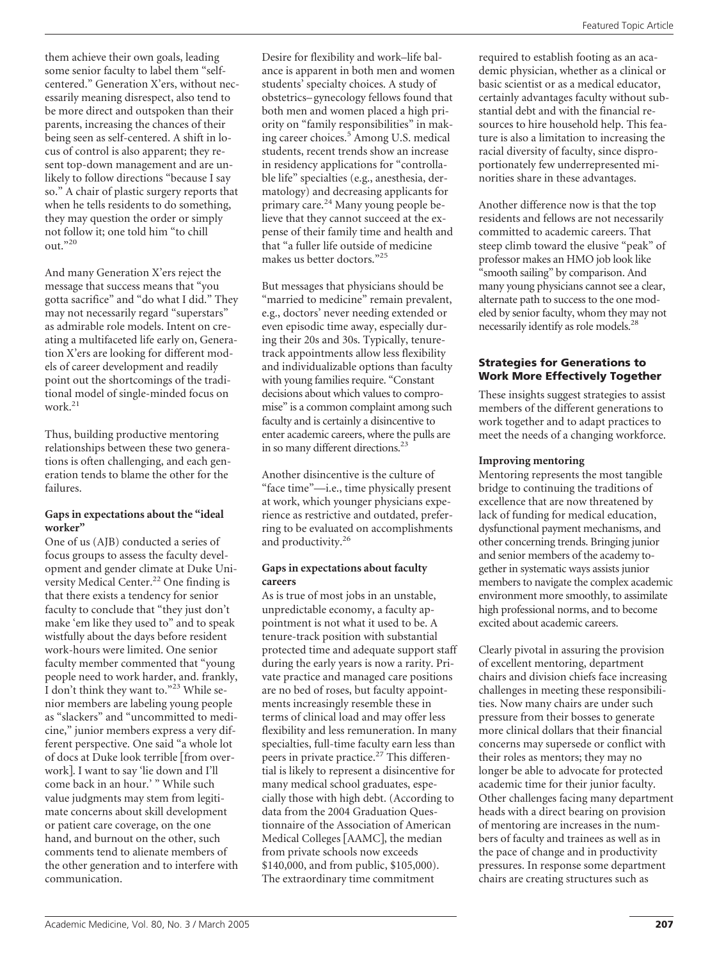them achieve their own goals, leading some senior faculty to label them "selfcentered." Generation X'ers, without necessarily meaning disrespect, also tend to be more direct and outspoken than their parents, increasing the chances of their being seen as self-centered. A shift in locus of control is also apparent; they resent top-down management and are unlikely to follow directions "because I say so." A chair of plastic surgery reports that when he tells residents to do something, they may question the order or simply not follow it; one told him "to chill out."20

And many Generation X'ers reject the message that success means that "you gotta sacrifice" and "do what I did." They may not necessarily regard "superstars" as admirable role models. Intent on creating a multifaceted life early on, Generation X'ers are looking for different models of career development and readily point out the shortcomings of the traditional model of single-minded focus on work.21

Thus, building productive mentoring relationships between these two generations is often challenging, and each generation tends to blame the other for the failures.

#### **Gaps in expectations about the "ideal worker"**

One of us (AJB) conducted a series of focus groups to assess the faculty development and gender climate at Duke University Medical Center.<sup>22</sup> One finding is that there exists a tendency for senior faculty to conclude that "they just don't make 'em like they used to" and to speak wistfully about the days before resident work-hours were limited. One senior faculty member commented that "young people need to work harder, and. frankly, I don't think they want to."<sup>23</sup> While senior members are labeling young people as "slackers" and "uncommitted to medicine," junior members express a very different perspective. One said "a whole lot of docs at Duke look terrible from overwork. I want to say 'lie down and I'll come back in an hour.' " While such value judgments may stem from legitimate concerns about skill development or patient care coverage, on the one hand, and burnout on the other, such comments tend to alienate members of the other generation and to interfere with communication.

Desire for flexibility and work–life balance is apparent in both men and women students' specialty choices. A study of obstetrics– gynecology fellows found that both men and women placed a high priority on "family responsibilities" in making career choices.5 Among U.S. medical students, recent trends show an increase in residency applications for "controllable life" specialties (e.g., anesthesia, dermatology) and decreasing applicants for primary care.<sup>24</sup> Many young people believe that they cannot succeed at the expense of their family time and health and that "a fuller life outside of medicine makes us better doctors."25

But messages that physicians should be "married to medicine" remain prevalent, e.g., doctors' never needing extended or even episodic time away, especially during their 20s and 30s. Typically, tenuretrack appointments allow less flexibility and individualizable options than faculty with young families require. "Constant decisions about which values to compromise" is a common complaint among such faculty and is certainly a disincentive to enter academic careers, where the pulls are in so many different directions.<sup>23</sup>

Another disincentive is the culture of "face time"—i.e., time physically present at work, which younger physicians experience as restrictive and outdated, preferring to be evaluated on accomplishments and productivity.26

#### **Gaps in expectations about faculty careers**

As is true of most jobs in an unstable, unpredictable economy, a faculty appointment is not what it used to be. A tenure-track position with substantial protected time and adequate support staff during the early years is now a rarity. Private practice and managed care positions are no bed of roses, but faculty appointments increasingly resemble these in terms of clinical load and may offer less flexibility and less remuneration. In many specialties, full-time faculty earn less than peers in private practice.<sup>27</sup> This differential is likely to represent a disincentive for many medical school graduates, especially those with high debt. (According to data from the 2004 Graduation Questionnaire of the Association of American Medical Colleges [AAMC], the median from private schools now exceeds \$140,000, and from public, \$105,000). The extraordinary time commitment

required to establish footing as an academic physician, whether as a clinical or basic scientist or as a medical educator, certainly advantages faculty without substantial debt and with the financial resources to hire household help. This feature is also a limitation to increasing the racial diversity of faculty, since disproportionately few underrepresented minorities share in these advantages.

Another difference now is that the top residents and fellows are not necessarily committed to academic careers. That steep climb toward the elusive "peak" of professor makes an HMO job look like "smooth sailing" by comparison. And many young physicians cannot see a clear, alternate path to success to the one modeled by senior faculty, whom they may not necessarily identify as role models.28

#### **Strategies for Generations to Work More Effectively Together**

These insights suggest strategies to assist members of the different generations to work together and to adapt practices to meet the needs of a changing workforce.

## **Improving mentoring**

Mentoring represents the most tangible bridge to continuing the traditions of excellence that are now threatened by lack of funding for medical education, dysfunctional payment mechanisms, and other concerning trends. Bringing junior and senior members of the academy together in systematic ways assists junior members to navigate the complex academic environment more smoothly, to assimilate high professional norms, and to become excited about academic careers.

Clearly pivotal in assuring the provision of excellent mentoring, department chairs and division chiefs face increasing challenges in meeting these responsibilities. Now many chairs are under such pressure from their bosses to generate more clinical dollars that their financial concerns may supersede or conflict with their roles as mentors; they may no longer be able to advocate for protected academic time for their junior faculty. Other challenges facing many department heads with a direct bearing on provision of mentoring are increases in the numbers of faculty and trainees as well as in the pace of change and in productivity pressures. In response some department chairs are creating structures such as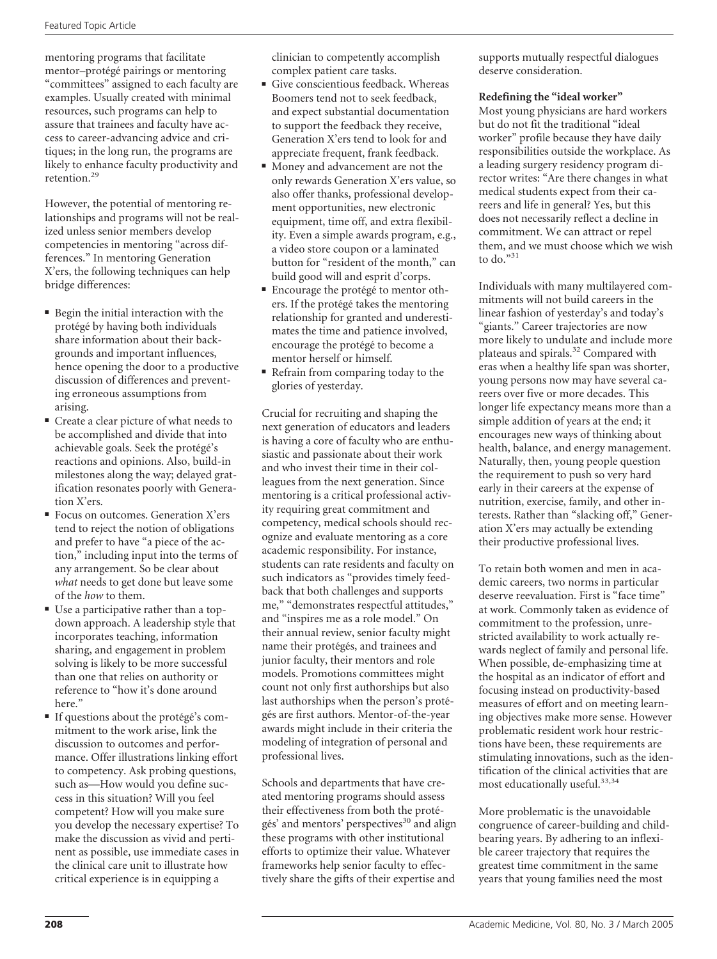mentoring programs that facilitate mentor–protégé pairings or mentoring "committees" assigned to each faculty are examples. Usually created with minimal resources, such programs can help to assure that trainees and faculty have access to career-advancing advice and critiques; in the long run, the programs are likely to enhance faculty productivity and retention.29

However, the potential of mentoring relationships and programs will not be realized unless senior members develop competencies in mentoring "across differences." In mentoring Generation X'ers, the following techniques can help bridge differences:

- Begin the initial interaction with the protégé by having both individuals share information about their backgrounds and important influences, hence opening the door to a productive discussion of differences and preventing erroneous assumptions from arising.
- Create a clear picture of what needs to be accomplished and divide that into achievable goals. Seek the protégé's reactions and opinions. Also, build-in milestones along the way; delayed gratification resonates poorly with Generation X'ers.
- Focus on outcomes. Generation X'ers tend to reject the notion of obligations and prefer to have "a piece of the action," including input into the terms of any arrangement. So be clear about *what* needs to get done but leave some of the *how* to them.
- Use a participative rather than a topdown approach. A leadership style that incorporates teaching, information sharing, and engagement in problem solving is likely to be more successful than one that relies on authority or reference to "how it's done around here."
- If questions about the protégé's commitment to the work arise, link the discussion to outcomes and performance. Offer illustrations linking effort to competency. Ask probing questions, such as—How would you define success in this situation? Will you feel competent? How will you make sure you develop the necessary expertise? To make the discussion as vivid and pertinent as possible, use immediate cases in the clinical care unit to illustrate how critical experience is in equipping a

clinician to competently accomplish complex patient care tasks.

- Give conscientious feedback. Whereas Boomers tend not to seek feedback, and expect substantial documentation to support the feedback they receive, Generation X'ers tend to look for and appreciate frequent, frank feedback.
- Money and advancement are not the only rewards Generation X'ers value, so also offer thanks, professional development opportunities, new electronic equipment, time off, and extra flexibility. Even a simple awards program, e.g., a video store coupon or a laminated button for "resident of the month," can build good will and esprit d'corps.
- Encourage the protégé to mentor others. If the protégé takes the mentoring relationship for granted and underestimates the time and patience involved, encourage the protégé to become a mentor herself or himself.
- Refrain from comparing today to the glories of yesterday.

Crucial for recruiting and shaping the next generation of educators and leaders is having a core of faculty who are enthusiastic and passionate about their work and who invest their time in their colleagues from the next generation. Since mentoring is a critical professional activity requiring great commitment and competency, medical schools should recognize and evaluate mentoring as a core academic responsibility. For instance, students can rate residents and faculty on such indicators as "provides timely feedback that both challenges and supports me," "demonstrates respectful attitudes," and "inspires me as a role model." On their annual review, senior faculty might name their protégés, and trainees and junior faculty, their mentors and role models. Promotions committees might count not only first authorships but also last authorships when the person's protégés are first authors. Mentor-of-the-year awards might include in their criteria the modeling of integration of personal and professional lives.

Schools and departments that have created mentoring programs should assess their effectiveness from both the protégés' and mentors' perspectives<sup>30</sup> and align these programs with other institutional efforts to optimize their value. Whatever frameworks help senior faculty to effectively share the gifts of their expertise and

supports mutually respectful dialogues deserve consideration.

## **Redefining the "ideal worker"**

Most young physicians are hard workers but do not fit the traditional "ideal worker" profile because they have daily responsibilities outside the workplace. As a leading surgery residency program director writes: "Are there changes in what medical students expect from their careers and life in general? Yes, but this does not necessarily reflect a decline in commitment. We can attract or repel them, and we must choose which we wish to do."31

Individuals with many multilayered commitments will not build careers in the linear fashion of yesterday's and today's "giants." Career trajectories are now more likely to undulate and include more plateaus and spirals.32 Compared with eras when a healthy life span was shorter, young persons now may have several careers over five or more decades. This longer life expectancy means more than a simple addition of years at the end; it encourages new ways of thinking about health, balance, and energy management. Naturally, then, young people question the requirement to push so very hard early in their careers at the expense of nutrition, exercise, family, and other interests. Rather than "slacking off," Generation X'ers may actually be extending their productive professional lives.

To retain both women and men in academic careers, two norms in particular deserve reevaluation. First is "face time" at work. Commonly taken as evidence of commitment to the profession, unrestricted availability to work actually rewards neglect of family and personal life. When possible, de-emphasizing time at the hospital as an indicator of effort and focusing instead on productivity-based measures of effort and on meeting learning objectives make more sense. However problematic resident work hour restrictions have been, these requirements are stimulating innovations, such as the identification of the clinical activities that are most educationally useful.<sup>33,34</sup>

More problematic is the unavoidable congruence of career-building and childbearing years. By adhering to an inflexible career trajectory that requires the greatest time commitment in the same years that young families need the most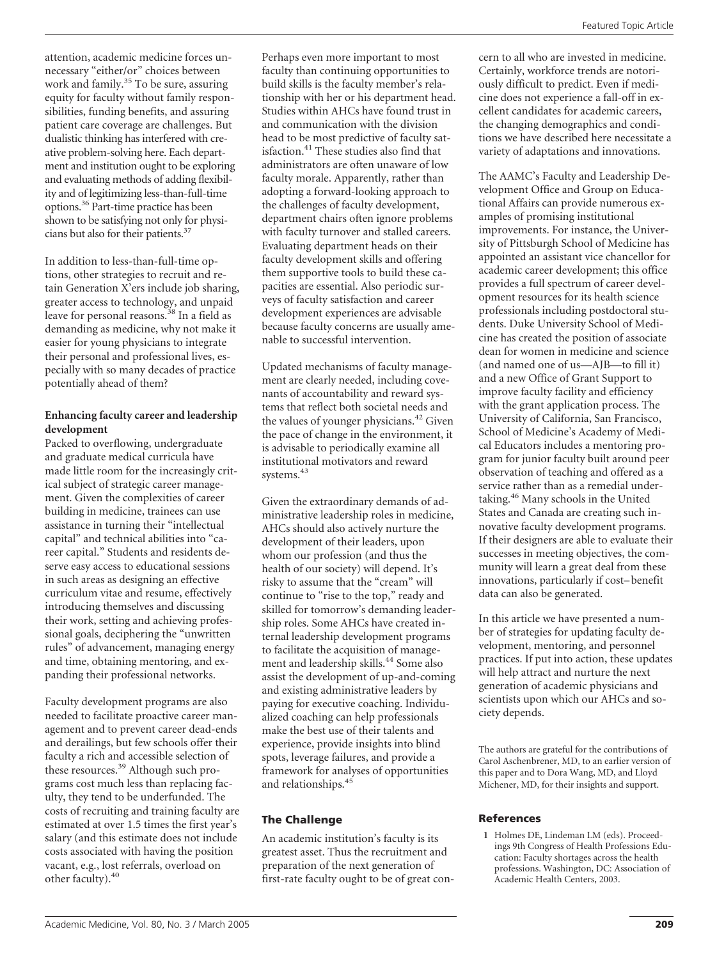attention, academic medicine forces unnecessary "either/or" choices between work and family.<sup>35</sup> To be sure, assuring equity for faculty without family responsibilities, funding benefits, and assuring patient care coverage are challenges. But dualistic thinking has interfered with creative problem-solving here. Each department and institution ought to be exploring and evaluating methods of adding flexibility and of legitimizing less-than-full-time options.36 Part-time practice has been shown to be satisfying not only for physicians but also for their patients.<sup>37</sup>

In addition to less-than-full-time options, other strategies to recruit and retain Generation X'ers include job sharing, greater access to technology, and unpaid leave for personal reasons.<sup>38</sup> In a field as demanding as medicine, why not make it easier for young physicians to integrate their personal and professional lives, especially with so many decades of practice potentially ahead of them?

#### **Enhancing faculty career and leadership development**

Packed to overflowing, undergraduate and graduate medical curricula have made little room for the increasingly critical subject of strategic career management. Given the complexities of career building in medicine, trainees can use assistance in turning their "intellectual capital" and technical abilities into "career capital." Students and residents deserve easy access to educational sessions in such areas as designing an effective curriculum vitae and resume, effectively introducing themselves and discussing their work, setting and achieving professional goals, deciphering the "unwritten rules" of advancement, managing energy and time, obtaining mentoring, and expanding their professional networks.

Faculty development programs are also needed to facilitate proactive career management and to prevent career dead-ends and derailings, but few schools offer their faculty a rich and accessible selection of these resources.39 Although such programs cost much less than replacing faculty, they tend to be underfunded. The costs of recruiting and training faculty are estimated at over 1.5 times the first year's salary (and this estimate does not include costs associated with having the position vacant, e.g., lost referrals, overload on other faculty).<sup>40</sup>

Perhaps even more important to most faculty than continuing opportunities to build skills is the faculty member's relationship with her or his department head. Studies within AHCs have found trust in and communication with the division head to be most predictive of faculty satisfaction. $41$  These studies also find that administrators are often unaware of low faculty morale. Apparently, rather than adopting a forward-looking approach to the challenges of faculty development, department chairs often ignore problems with faculty turnover and stalled careers. Evaluating department heads on their faculty development skills and offering them supportive tools to build these capacities are essential. Also periodic surveys of faculty satisfaction and career development experiences are advisable because faculty concerns are usually amenable to successful intervention.

Updated mechanisms of faculty management are clearly needed, including covenants of accountability and reward systems that reflect both societal needs and the values of younger physicians.<sup>42</sup> Given the pace of change in the environment, it is advisable to periodically examine all institutional motivators and reward systems.<sup>43</sup>

Given the extraordinary demands of administrative leadership roles in medicine, AHCs should also actively nurture the development of their leaders, upon whom our profession (and thus the health of our society) will depend. It's risky to assume that the "cream" will continue to "rise to the top," ready and skilled for tomorrow's demanding leadership roles. Some AHCs have created internal leadership development programs to facilitate the acquisition of management and leadership skills.<sup>44</sup> Some also assist the development of up-and-coming and existing administrative leaders by paying for executive coaching. Individualized coaching can help professionals make the best use of their talents and experience, provide insights into blind spots, leverage failures, and provide a framework for analyses of opportunities and relationships.45

# **The Challenge**

An academic institution's faculty is its greatest asset. Thus the recruitment and preparation of the next generation of first-rate faculty ought to be of great concern to all who are invested in medicine. Certainly, workforce trends are notoriously difficult to predict. Even if medicine does not experience a fall-off in excellent candidates for academic careers, the changing demographics and conditions we have described here necessitate a variety of adaptations and innovations.

The AAMC's Faculty and Leadership Development Office and Group on Educational Affairs can provide numerous examples of promising institutional improvements. For instance, the University of Pittsburgh School of Medicine has appointed an assistant vice chancellor for academic career development; this office provides a full spectrum of career development resources for its health science professionals including postdoctoral students. Duke University School of Medicine has created the position of associate dean for women in medicine and science (and named one of us—AJB—to fill it) and a new Office of Grant Support to improve faculty facility and efficiency with the grant application process. The University of California, San Francisco, School of Medicine's Academy of Medical Educators includes a mentoring program for junior faculty built around peer observation of teaching and offered as a service rather than as a remedial undertaking.46 Many schools in the United States and Canada are creating such innovative faculty development programs. If their designers are able to evaluate their successes in meeting objectives, the community will learn a great deal from these innovations, particularly if cost– benefit data can also be generated.

In this article we have presented a number of strategies for updating faculty development, mentoring, and personnel practices. If put into action, these updates will help attract and nurture the next generation of academic physicians and scientists upon which our AHCs and society depends.

The authors are grateful for the contributions of Carol Aschenbrener, MD, to an earlier version of this paper and to Dora Wang, MD, and Lloyd Michener, MD, for their insights and support.

# **References**

**1** Holmes DE, Lindeman LM (eds). Proceedings 9th Congress of Health Professions Education: Faculty shortages across the health professions. Washington, DC: Association of Academic Health Centers, 2003.